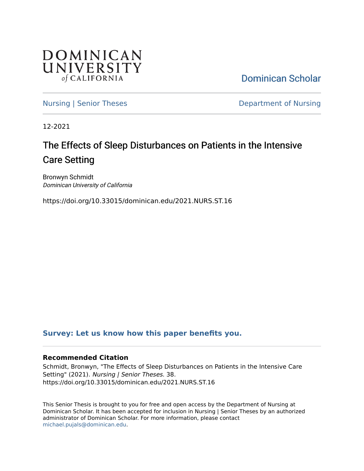

[Dominican Scholar](https://scholar.dominican.edu/) 

[Nursing | Senior Theses](https://scholar.dominican.edu/nursing-senior-theses) **Department of Nursing** 

12-2021

# The Effects of Sleep Disturbances on Patients in the Intensive Care Setting

Bronwyn Schmidt Dominican University of California

https://doi.org/10.33015/dominican.edu/2021.NURS.ST.16

## **[Survey: Let us know how this paper benefits you.](https://dominican.libwizard.com/dominican-scholar-feedback)**

## **Recommended Citation**

Schmidt, Bronwyn, "The Effects of Sleep Disturbances on Patients in the Intensive Care Setting" (2021). Nursing | Senior Theses. 38. https://doi.org/10.33015/dominican.edu/2021.NURS.ST.16

This Senior Thesis is brought to you for free and open access by the Department of Nursing at Dominican Scholar. It has been accepted for inclusion in Nursing | Senior Theses by an authorized administrator of Dominican Scholar. For more information, please contact [michael.pujals@dominican.edu.](mailto:michael.pujals@dominican.edu)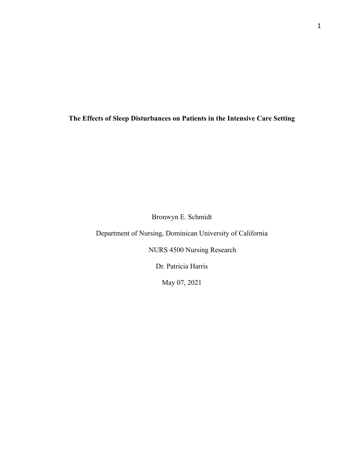**The Effects of Sleep Disturbances on Patients in the Intensive Care Setting**

Bronwyn E. Schmidt

Department of Nursing, Dominican University of California

NURS 4500 Nursing Research

Dr. Patricia Harris

May 07, 2021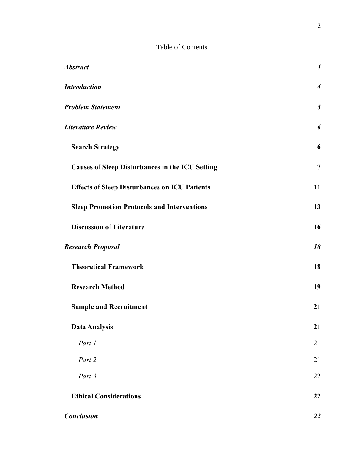## Table of Contents

| <i><b>Abstract</b></i>                                 | $\boldsymbol{4}$ |
|--------------------------------------------------------|------------------|
| <b>Introduction</b>                                    | $\overline{4}$   |
| <b>Problem Statement</b>                               | 5                |
| Literature Review                                      | 6                |
| <b>Search Strategy</b>                                 | 6                |
| <b>Causes of Sleep Disturbances in the ICU Setting</b> | $\overline{7}$   |
| <b>Effects of Sleep Disturbances on ICU Patients</b>   | 11               |
| <b>Sleep Promotion Protocols and Interventions</b>     | 13               |
| <b>Discussion of Literature</b>                        | 16               |
| <b>Research Proposal</b>                               | 18               |
| <b>Theoretical Framework</b>                           | 18               |
| <b>Research Method</b>                                 | 19               |
| <b>Sample and Recruitment</b>                          | 21               |
| <b>Data Analysis</b>                                   | 21               |
| Part 1                                                 | 21               |
| Part 2                                                 | 21               |
| Part 3                                                 | 22               |
| <b>Ethical Considerations</b>                          | 22               |
| <b>Conclusion</b>                                      | 22               |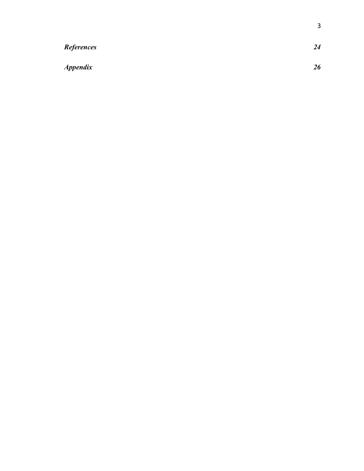| <b>References</b>      | 24 |
|------------------------|----|
| <i><b>Appendix</b></i> | 26 |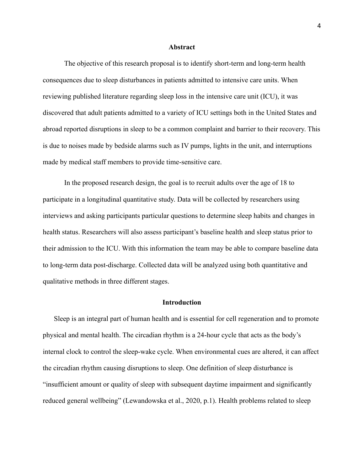#### **Abstract**

<span id="page-4-0"></span>The objective of this research proposal is to identify short-term and long-term health consequences due to sleep disturbances in patients admitted to intensive care units. When reviewing published literature regarding sleep loss in the intensive care unit (ICU), it was discovered that adult patients admitted to a variety of ICU settings both in the United States and abroad reported disruptions in sleep to be a common complaint and barrier to their recovery. This is due to noises made by bedside alarms such as IV pumps, lights in the unit, and interruptions made by medical staff members to provide time-sensitive care.

In the proposed research design, the goal is to recruit adults over the age of 18 to participate in a longitudinal quantitative study. Data will be collected by researchers using interviews and asking participants particular questions to determine sleep habits and changes in health status. Researchers will also assess participant's baseline health and sleep status prior to their admission to the ICU. With this information the team may be able to compare baseline data to long-term data post-discharge. Collected data will be analyzed using both quantitative and qualitative methods in three different stages.

### **Introduction**

<span id="page-4-1"></span>Sleep is an integral part of human health and is essential for cell regeneration and to promote physical and mental health. The circadian rhythm is a 24-hour cycle that acts as the body's internal clock to control the sleep-wake cycle. When environmental cues are altered, it can affect the circadian rhythm causing disruptions to sleep. One definition of sleep disturbance is "insufficient amount or quality of sleep with subsequent daytime impairment and significantly reduced general wellbeing" (Lewandowska et al., 2020, p.1). Health problems related to sleep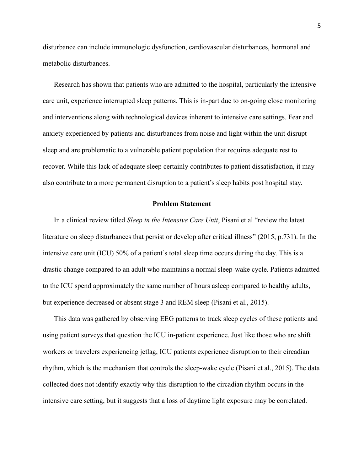disturbance can include immunologic dysfunction, cardiovascular disturbances, hormonal and metabolic disturbances.

Research has shown that patients who are admitted to the hospital, particularly the intensive care unit, experience interrupted sleep patterns. This is in-part due to on-going close monitoring and interventions along with technological devices inherent to intensive care settings. Fear and anxiety experienced by patients and disturbances from noise and light within the unit disrupt sleep and are problematic to a vulnerable patient population that requires adequate rest to recover. While this lack of adequate sleep certainly contributes to patient dissatisfaction, it may also contribute to a more permanent disruption to a patient's sleep habits post hospital stay.

#### **Problem Statement**

<span id="page-5-0"></span>In a clinical review titled *Sleep in the Intensive Care Unit*, Pisani et al "review the latest literature on sleep disturbances that persist or develop after critical illness" (2015, p.731). In the intensive care unit (ICU) 50% of a patient's total sleep time occurs during the day. This is a drastic change compared to an adult who maintains a normal sleep-wake cycle. Patients admitted to the ICU spend approximately the same number of hours asleep compared to healthy adults, but experience decreased or absent stage 3 and REM sleep (Pisani et al., 2015).

This data was gathered by observing EEG patterns to track sleep cycles of these patients and using patient surveys that question the ICU in-patient experience. Just like those who are shift workers or travelers experiencing jetlag, ICU patients experience disruption to their circadian rhythm, which is the mechanism that controls the sleep-wake cycle (Pisani et al., 2015). The data collected does not identify exactly why this disruption to the circadian rhythm occurs in the intensive care setting, but it suggests that a loss of daytime light exposure may be correlated.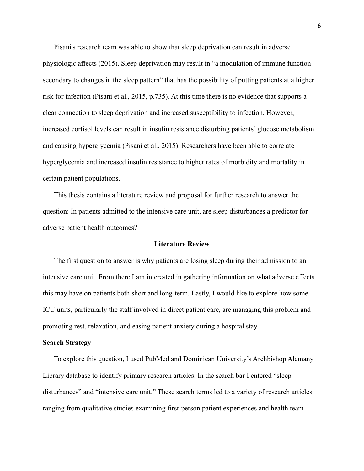Pisani's research team was able to show that sleep deprivation can result in adverse physiologic affects (2015). Sleep deprivation may result in "a modulation of immune function secondary to changes in the sleep pattern" that has the possibility of putting patients at a higher risk for infection (Pisani et al., 2015, p.735). At this time there is no evidence that supports a clear connection to sleep deprivation and increased susceptibility to infection. However, increased cortisol levels can result in insulin resistance disturbing patients' glucose metabolism and causing hyperglycemia (Pisani et al., 2015). Researchers have been able to correlate hyperglycemia and increased insulin resistance to higher rates of morbidity and mortality in certain patient populations.

This thesis contains a literature review and proposal for further research to answer the question: In patients admitted to the intensive care unit, are sleep disturbances a predictor for adverse patient health outcomes?

#### **Literature Review**

<span id="page-6-0"></span>The first question to answer is why patients are losing sleep during their admission to an intensive care unit. From there I am interested in gathering information on what adverse effects this may have on patients both short and long-term. Lastly, I would like to explore how some ICU units, particularly the staff involved in direct patient care, are managing this problem and promoting rest, relaxation, and easing patient anxiety during a hospital stay.

#### <span id="page-6-1"></span>**Search Strategy**

To explore this question, I used PubMed and Dominican University's Archbishop Alemany Library database to identify primary research articles. In the search bar I entered "sleep disturbances" and "intensive care unit." These search terms led to a variety of research articles ranging from qualitative studies examining first-person patient experiences and health team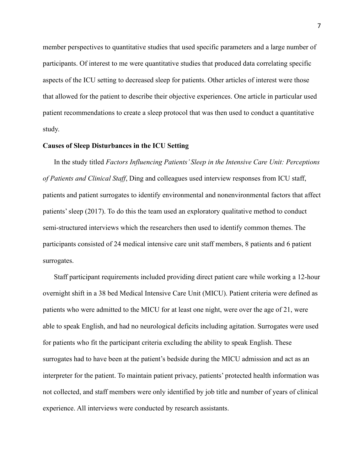member perspectives to quantitative studies that used specific parameters and a large number of participants. Of interest to me were quantitative studies that produced data correlating specific aspects of the ICU setting to decreased sleep for patients. Other articles of interest were those that allowed for the patient to describe their objective experiences. One article in particular used patient recommendations to create a sleep protocol that was then used to conduct a quantitative study.

#### <span id="page-7-0"></span>**Causes of Sleep Disturbances in the ICU Setting**

In the study titled *Factors Influencing Patients' Sleep in the Intensive Care Unit: Perceptions of Patients and Clinical Staff*, Ding and colleagues used interview responses from ICU staff, patients and patient surrogates to identify environmental and nonenvironmental factors that affect patients' sleep (2017). To do this the team used an exploratory qualitative method to conduct semi-structured interviews which the researchers then used to identify common themes. The participants consisted of 24 medical intensive care unit staff members, 8 patients and 6 patient surrogates.

Staff participant requirements included providing direct patient care while working a 12-hour overnight shift in a 38 bed Medical Intensive Care Unit (MICU). Patient criteria were defined as patients who were admitted to the MICU for at least one night, were over the age of 21, were able to speak English, and had no neurological deficits including agitation. Surrogates were used for patients who fit the participant criteria excluding the ability to speak English. These surrogates had to have been at the patient's bedside during the MICU admission and act as an interpreter for the patient. To maintain patient privacy, patients' protected health information was not collected, and staff members were only identified by job title and number of years of clinical experience. All interviews were conducted by research assistants.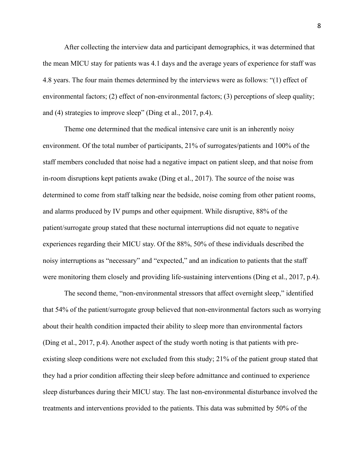After collecting the interview data and participant demographics, it was determined that the mean MICU stay for patients was 4.1 days and the average years of experience for staff was 4.8 years. The four main themes determined by the interviews were as follows: "(1) effect of environmental factors; (2) effect of non-environmental factors; (3) perceptions of sleep quality; and (4) strategies to improve sleep" (Ding et al., 2017, p.4).

Theme one determined that the medical intensive care unit is an inherently noisy environment. Of the total number of participants, 21% of surrogates/patients and 100% of the staff members concluded that noise had a negative impact on patient sleep, and that noise from in-room disruptions kept patients awake (Ding et al., 2017). The source of the noise was determined to come from staff talking near the bedside, noise coming from other patient rooms, and alarms produced by IV pumps and other equipment. While disruptive, 88% of the patient/surrogate group stated that these nocturnal interruptions did not equate to negative experiences regarding their MICU stay. Of the 88%, 50% of these individuals described the noisy interruptions as "necessary" and "expected," and an indication to patients that the staff were monitoring them closely and providing life-sustaining interventions (Ding et al., 2017, p.4).

The second theme, "non-environmental stressors that affect overnight sleep," identified that 54% of the patient/surrogate group believed that non-environmental factors such as worrying about their health condition impacted their ability to sleep more than environmental factors (Ding et al., 2017, p.4). Another aspect of the study worth noting is that patients with preexisting sleep conditions were not excluded from this study; 21% of the patient group stated that they had a prior condition affecting their sleep before admittance and continued to experience sleep disturbances during their MICU stay. The last non-environmental disturbance involved the treatments and interventions provided to the patients. This data was submitted by 50% of the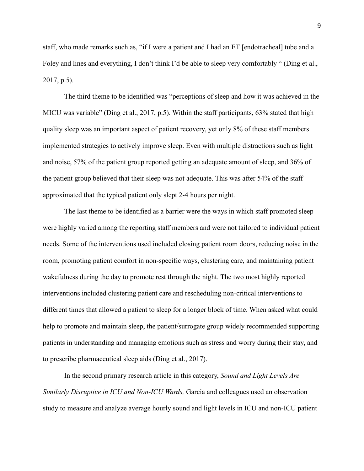staff, who made remarks such as, "if I were a patient and I had an ET [endotracheal] tube and a Foley and lines and everything, I don't think I'd be able to sleep very comfortably " (Ding et al., 2017, p.5).

The third theme to be identified was "perceptions of sleep and how it was achieved in the MICU was variable" (Ding et al., 2017, p.5). Within the staff participants, 63% stated that high quality sleep was an important aspect of patient recovery, yet only 8% of these staff members implemented strategies to actively improve sleep. Even with multiple distractions such as light and noise, 57% of the patient group reported getting an adequate amount of sleep, and 36% of the patient group believed that their sleep was not adequate. This was after 54% of the staff approximated that the typical patient only slept 2-4 hours per night.

The last theme to be identified as a barrier were the ways in which staff promoted sleep were highly varied among the reporting staff members and were not tailored to individual patient needs. Some of the interventions used included closing patient room doors, reducing noise in the room, promoting patient comfort in non-specific ways, clustering care, and maintaining patient wakefulness during the day to promote rest through the night. The two most highly reported interventions included clustering patient care and rescheduling non-critical interventions to different times that allowed a patient to sleep for a longer block of time. When asked what could help to promote and maintain sleep, the patient/surrogate group widely recommended supporting patients in understanding and managing emotions such as stress and worry during their stay, and to prescribe pharmaceutical sleep aids (Ding et al., 2017).

In the second primary research article in this category, *Sound and Light Levels Are Similarly Disruptive in ICU and Non-ICU Wards,* Garcia and colleagues used an observation study to measure and analyze average hourly sound and light levels in ICU and non-ICU patient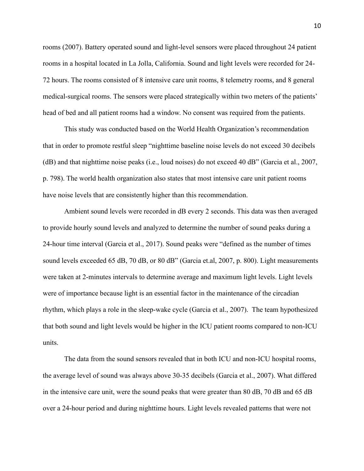rooms (2007). Battery operated sound and light-level sensors were placed throughout 24 patient rooms in a hospital located in La Jolla, California. Sound and light levels were recorded for 24- 72 hours. The rooms consisted of 8 intensive care unit rooms, 8 telemetry rooms, and 8 general medical-surgical rooms. The sensors were placed strategically within two meters of the patients' head of bed and all patient rooms had a window. No consent was required from the patients.

This study was conducted based on the World Health Organization's recommendation that in order to promote restful sleep "nighttime baseline noise levels do not exceed 30 decibels (dB) and that nighttime noise peaks (i.e., loud noises) do not exceed 40 dB" (Garcia et al., 2007, p. 798). The world health organization also states that most intensive care unit patient rooms have noise levels that are consistently higher than this recommendation.

Ambient sound levels were recorded in dB every 2 seconds. This data was then averaged to provide hourly sound levels and analyzed to determine the number of sound peaks during a 24-hour time interval (Garcia et al., 2017). Sound peaks were "defined as the number of times sound levels exceeded 65 dB, 70 dB, or 80 dB" (Garcia et.al, 2007, p. 800). Light measurements were taken at 2-minutes intervals to determine average and maximum light levels. Light levels were of importance because light is an essential factor in the maintenance of the circadian rhythm, which plays a role in the sleep-wake cycle (Garcia et al., 2007). The team hypothesized that both sound and light levels would be higher in the ICU patient rooms compared to non-ICU units.

The data from the sound sensors revealed that in both ICU and non-ICU hospital rooms, the average level of sound was always above 30-35 decibels (Garcia et al., 2007). What differed in the intensive care unit, were the sound peaks that were greater than 80 dB, 70 dB and 65 dB over a 24-hour period and during nighttime hours. Light levels revealed patterns that were not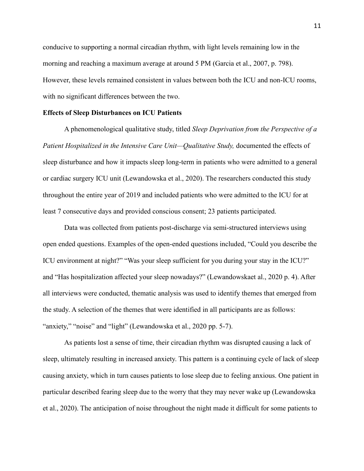conducive to supporting a normal circadian rhythm, with light levels remaining low in the morning and reaching a maximum average at around 5 PM (Garcia et al., 2007, p. 798). However, these levels remained consistent in values between both the ICU and non-ICU rooms, with no significant differences between the two.

#### <span id="page-11-0"></span>**Effects of Sleep Disturbances on ICU Patients**

A phenomenological qualitative study, titled *Sleep Deprivation from the Perspective of a Patient Hospitalized in the Intensive Care Unit—Qualitative Study, documented the effects of* sleep disturbance and how it impacts sleep long-term in patients who were admitted to a general or cardiac surgery ICU unit (Lewandowska et al., 2020). The researchers conducted this study throughout the entire year of 2019 and included patients who were admitted to the ICU for at least 7 consecutive days and provided conscious consent; 23 patients participated.

Data was collected from patients post-discharge via semi-structured interviews using open ended questions. Examples of the open-ended questions included, "Could you describe the ICU environment at night?" "Was your sleep sufficient for you during your stay in the ICU?" and "Has hospitalization affected your sleep nowadays?" (Lewandowskaet al., 2020 p. 4). After all interviews were conducted, thematic analysis was used to identify themes that emerged from the study. A selection of the themes that were identified in all participants are as follows: "anxiety," "noise" and "light" (Lewandowska et al., 2020 pp. 5-7).

As patients lost a sense of time, their circadian rhythm was disrupted causing a lack of sleep, ultimately resulting in increased anxiety. This pattern is a continuing cycle of lack of sleep causing anxiety, which in turn causes patients to lose sleep due to feeling anxious. One patient in particular described fearing sleep due to the worry that they may never wake up (Lewandowska et al., 2020). The anticipation of noise throughout the night made it difficult for some patients to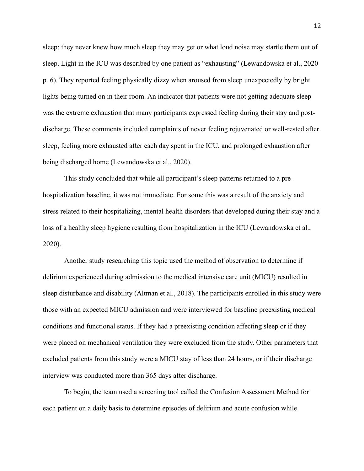sleep; they never knew how much sleep they may get or what loud noise may startle them out of sleep. Light in the ICU was described by one patient as "exhausting" (Lewandowska et al., 2020 p. 6). They reported feeling physically dizzy when aroused from sleep unexpectedly by bright lights being turned on in their room. An indicator that patients were not getting adequate sleep was the extreme exhaustion that many participants expressed feeling during their stay and postdischarge. These comments included complaints of never feeling rejuvenated or well-rested after sleep, feeling more exhausted after each day spent in the ICU, and prolonged exhaustion after being discharged home (Lewandowska et al., 2020).

This study concluded that while all participant's sleep patterns returned to a prehospitalization baseline, it was not immediate. For some this was a result of the anxiety and stress related to their hospitalizing, mental health disorders that developed during their stay and a loss of a healthy sleep hygiene resulting from hospitalization in the ICU (Lewandowska et al., 2020).

Another study researching this topic used the method of observation to determine if delirium experienced during admission to the medical intensive care unit (MICU) resulted in sleep disturbance and disability (Altman et al., 2018). The participants enrolled in this study were those with an expected MICU admission and were interviewed for baseline preexisting medical conditions and functional status. If they had a preexisting condition affecting sleep or if they were placed on mechanical ventilation they were excluded from the study. Other parameters that excluded patients from this study were a MICU stay of less than 24 hours, or if their discharge interview was conducted more than 365 days after discharge.

To begin, the team used a screening tool called the Confusion Assessment Method for each patient on a daily basis to determine episodes of delirium and acute confusion while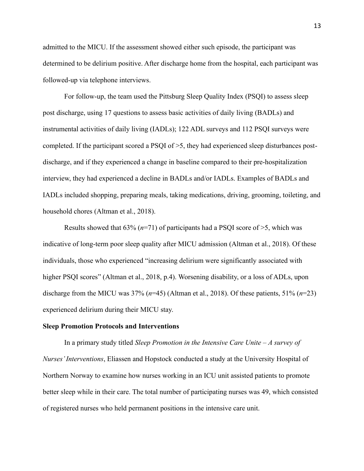admitted to the MICU. If the assessment showed either such episode, the participant was determined to be delirium positive. After discharge home from the hospital, each participant was followed-up via telephone interviews.

For follow-up, the team used the Pittsburg Sleep Quality Index (PSQI) to assess sleep post discharge, using 17 questions to assess basic activities of daily living (BADLs) and instrumental activities of daily living (IADLs); 122 ADL surveys and 112 PSQI surveys were completed. If the participant scored a PSQI of >5, they had experienced sleep disturbances postdischarge, and if they experienced a change in baseline compared to their pre-hospitalization interview, they had experienced a decline in BADLs and/or IADLs. Examples of BADLs and IADLs included shopping, preparing meals, taking medications, driving, grooming, toileting, and household chores (Altman et al., 2018).

Results showed that 63% (*n*=71) of participants had a PSQI score of >5, which was indicative of long-term poor sleep quality after MICU admission (Altman et al., 2018). Of these individuals, those who experienced "increasing delirium were significantly associated with higher PSQI scores" (Altman et al., 2018, p.4). Worsening disability, or a loss of ADLs, upon discharge from the MICU was 37% (*n*=45) (Altman et al., 2018). Of these patients, 51% (*n*=23) experienced delirium during their MICU stay.

#### <span id="page-13-0"></span>**Sleep Promotion Protocols and Interventions**

In a primary study titled *Sleep Promotion in the Intensive Care Unite – A survey of Nurses' Interventions*, Eliassen and Hopstock conducted a study at the University Hospital of Northern Norway to examine how nurses working in an ICU unit assisted patients to promote better sleep while in their care. The total number of participating nurses was 49, which consisted of registered nurses who held permanent positions in the intensive care unit.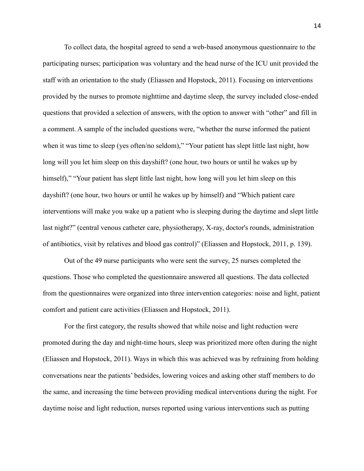To collect data, the hospital agreed to send a web-based anonymous questionnaire to the participating nurses; participation was voluntary and the head nurse of the ICU unit provided the staff with an orientation to the study (Eliassen and Hopstock, 2011). Focusing on interventions provided by the nurses to promote nighttime and daytime sleep, the survey included close-ended questions that provided a selection of answers, with the option to answer with "other" and fill in a comment. A sample of the included questions were, "whether the nurse informed the patient when it was time to sleep (yes often/no seldom)," "Your patient has slept little last night, how long will you let him sleep on this dayshift? (one hour, two hours or until he wakes up by himself)," "Your patient has slept little last night, how long will you let him sleep on this dayshift? (one hour, two hours or until he wakes up by himself) and "Which patient care interventions will make you wake up a patient who is sleeping during the daytime and slept little last night?" (central venous catheter care, physiotherapy, X-ray, doctor's rounds, administration of antibiotics, visit by relatives and blood gas control)" (Eliassen and Hopstock, 2011, p. 139).

Out of the 49 nurse participants who were sent the survey, 25 nurses completed the questions. Those who completed the questionnaire answered all questions. The data collected from the questionnaires were organized into three intervention categories: noise and light, patient comfort and patient care activities (Eliassen and Hopstock, 2011).

For the first category, the results showed that while noise and light reduction were promoted during the day and night-time hours, sleep was prioritized more often during the night (Eliassen and Hopstock, 2011). Ways in which this was achieved was by refraining from holding conversations near the patients' bedsides, lowering voices and asking other staff members to do the same, and increasing the time between providing medical interventions during the night. For daytime noise and light reduction, nurses reported using various interventions such as putting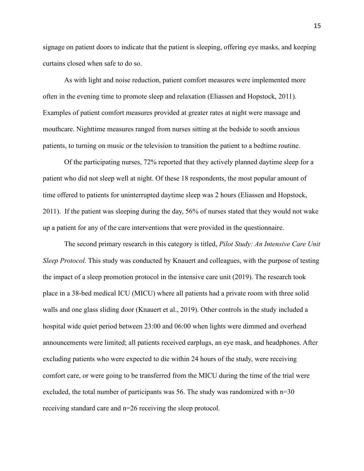signage on patient doors to indicate that the patient is sleeping, offering eye masks, and keeping curtains closed when safe to do so.

As with light and noise reduction, patient comfort measures were implemented more often in the evening time to promote sleep and relaxation (Eliassen and Hopstock, 2011). Examples of patient comfort measures provided at greater rates at night were massage and mouthcare. Nighttime measures ranged from nurses sitting at the bedside to sooth anxious patients, to turning on music or the television to transition the patient to a bedtime routine.

Of the participating nurses, 72% reported that they actively planned daytime sleep for a patient who did not sleep well at night. Of these 18 respondents, the most popular amount of time offered to patients for uninterrupted daytime sleep was 2 hours (Eliassen and Hopstock, 2011). If the patient was sleeping during the day, 56% of nurses stated that they would not wake up a patient for any of the care interventions that were provided in the questionnaire.

The second primary research in this category is titled, *Pilot Study: An Intensive Care Unit Sleep Protocol.* This study was conducted by Knauert and colleagues, with the purpose of testing the impact of a sleep promotion protocol in the intensive care unit (2019). The research took place in a 38-bed medical ICU (MICU) where all patients had a private room with three solid walls and one glass sliding door (Knauert et al., 2019). Other controls in the study included a hospital wide quiet period between 23:00 and 06:00 when lights were dimmed and overhead announcements were limited; all patients received earplugs, an eye mask, and headphones. After excluding patients who were expected to die within 24 hours of the study, were receiving comfort care, or were going to be transferred from the MICU during the time of the trial were excluded, the total number of participants was 56. The study was randomized with n=30 receiving standard care and n=26 receiving the sleep protocol.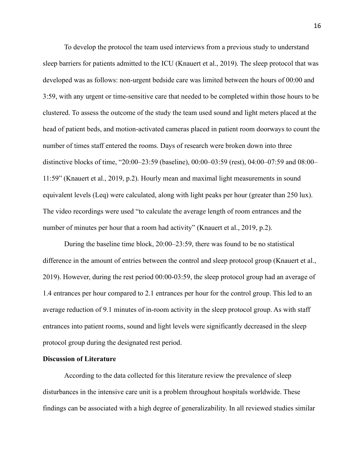To develop the protocol the team used interviews from a previous study to understand sleep barriers for patients admitted to the ICU (Knauert et al., 2019). The sleep protocol that was developed was as follows: non-urgent bedside care was limited between the hours of 00:00 and 3:59, with any urgent or time-sensitive care that needed to be completed within those hours to be clustered. To assess the outcome of the study the team used sound and light meters placed at the head of patient beds, and motion-activated cameras placed in patient room doorways to count the number of times staff entered the rooms. Days of research were broken down into three distinctive blocks of time, "20:00–23:59 (baseline), 00:00–03:59 (rest), 04:00–07:59 and 08:00– 11:59" (Knauert et al., 2019, p.2). Hourly mean and maximal light measurements in sound equivalent levels (Leq) were calculated, along with light peaks per hour (greater than 250 lux). The video recordings were used "to calculate the average length of room entrances and the number of minutes per hour that a room had activity" (Knauert et al., 2019, p.2).

During the baseline time block, 20:00–23:59, there was found to be no statistical difference in the amount of entries between the control and sleep protocol group (Knauert et al., 2019). However, during the rest period 00:00-03:59, the sleep protocol group had an average of 1.4 entrances per hour compared to 2.1 entrances per hour for the control group. This led to an average reduction of 9.1 minutes of in-room activity in the sleep protocol group. As with staff entrances into patient rooms, sound and light levels were significantly decreased in the sleep protocol group during the designated rest period.

#### <span id="page-16-0"></span>**Discussion of Literature**

According to the data collected for this literature review the prevalence of sleep disturbances in the intensive care unit is a problem throughout hospitals worldwide. These findings can be associated with a high degree of generalizability. In all reviewed studies similar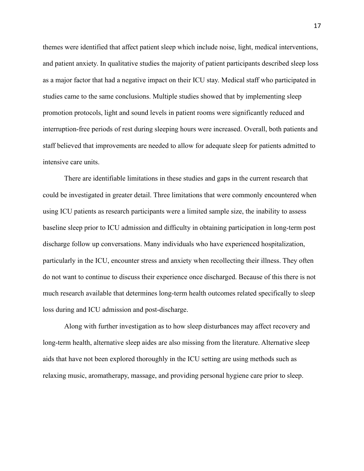themes were identified that affect patient sleep which include noise, light, medical interventions, and patient anxiety. In qualitative studies the majority of patient participants described sleep loss as a major factor that had a negative impact on their ICU stay. Medical staff who participated in studies came to the same conclusions. Multiple studies showed that by implementing sleep promotion protocols, light and sound levels in patient rooms were significantly reduced and interruption-free periods of rest during sleeping hours were increased. Overall, both patients and staff believed that improvements are needed to allow for adequate sleep for patients admitted to intensive care units.

There are identifiable limitations in these studies and gaps in the current research that could be investigated in greater detail. Three limitations that were commonly encountered when using ICU patients as research participants were a limited sample size, the inability to assess baseline sleep prior to ICU admission and difficulty in obtaining participation in long-term post discharge follow up conversations. Many individuals who have experienced hospitalization, particularly in the ICU, encounter stress and anxiety when recollecting their illness. They often do not want to continue to discuss their experience once discharged. Because of this there is not much research available that determines long-term health outcomes related specifically to sleep loss during and ICU admission and post-discharge.

Along with further investigation as to how sleep disturbances may affect recovery and long-term health, alternative sleep aides are also missing from the literature. Alternative sleep aids that have not been explored thoroughly in the ICU setting are using methods such as relaxing music, aromatherapy, massage, and providing personal hygiene care prior to sleep.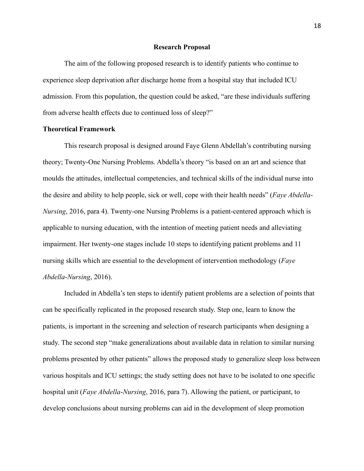#### **Research Proposal**

<span id="page-18-0"></span>The aim of the following proposed research is to identify patients who continue to experience sleep deprivation after discharge home from a hospital stay that included ICU admission. From this population, the question could be asked, "are these individuals suffering from adverse health effects due to continued loss of sleep?"

#### <span id="page-18-1"></span>**Theoretical Framework**

This research proposal is designed around Faye Glenn Abdellah's contributing nursing theory; Twenty-One Nursing Problems. Abdella's theory "is based on an art and science that moulds the attitudes, intellectual competencies, and technical skills of the individual nurse into the desire and ability to help people, sick or well, cope with their health needs" (*Faye Abdella*-*Nursing*, 2016, para 4). Twenty-one Nursing Problems is a patient-centered approach which is applicable to nursing education, with the intention of meeting patient needs and alleviating impairment. Her twenty-one stages include 10 steps to identifying patient problems and 11 nursing skills which are essential to the development of intervention methodology (*Faye Abdella*-*Nursing*, 2016).

Included in Abdella's ten steps to identify patient problems are a selection of points that can be specifically replicated in the proposed research study. Step one, learn to know the patients, is important in the screening and selection of research participants when designing a study. The second step "make generalizations about available data in relation to similar nursing problems presented by other patients" allows the proposed study to generalize sleep loss between various hospitals and ICU settings; the study setting does not have to be isolated to one specific hospital unit (*Faye Abdella*-*Nursing*, 2016, para 7). Allowing the patient, or participant, to develop conclusions about nursing problems can aid in the development of sleep promotion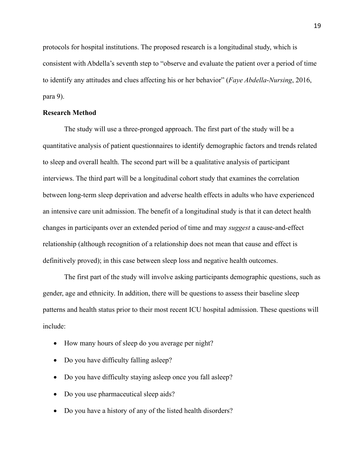protocols for hospital institutions. The proposed research is a longitudinal study, which is consistent with Abdella's seventh step to "observe and evaluate the patient over a period of time to identify any attitudes and clues affecting his or her behavior" (*Faye Abdella*-*Nursing*, 2016, para 9).

#### <span id="page-19-0"></span>**Research Method**

The study will use a three-pronged approach. The first part of the study will be a quantitative analysis of patient questionnaires to identify demographic factors and trends related to sleep and overall health. The second part will be a qualitative analysis of participant interviews. The third part will be a longitudinal cohort study that examines the correlation between long-term sleep deprivation and adverse health effects in adults who have experienced an intensive care unit admission. The benefit of a longitudinal study is that it can detect health changes in participants over an extended period of time and may *suggest* a cause-and-effect relationship (although recognition of a relationship does not mean that cause and effect is definitively proved); in this case between sleep loss and negative health outcomes.

The first part of the study will involve asking participants demographic questions, such as gender, age and ethnicity. In addition, there will be questions to assess their baseline sleep patterns and health status prior to their most recent ICU hospital admission. These questions will include:

- How many hours of sleep do you average per night?
- Do you have difficulty falling asleep?
- Do you have difficulty staying asleep once you fall asleep?
- Do you use pharmaceutical sleep aids?
- Do you have a history of any of the listed health disorders?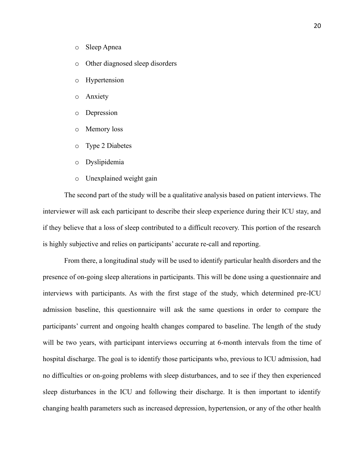- o Sleep Apnea
- o Other diagnosed sleep disorders
- o Hypertension
- o Anxiety
- o Depression
- o Memory loss
- o Type 2 Diabetes
- o Dyslipidemia
- o Unexplained weight gain

The second part of the study will be a qualitative analysis based on patient interviews. The interviewer will ask each participant to describe their sleep experience during their ICU stay, and if they believe that a loss of sleep contributed to a difficult recovery. This portion of the research is highly subjective and relies on participants' accurate re-call and reporting.

From there, a longitudinal study will be used to identify particular health disorders and the presence of on-going sleep alterations in participants. This will be done using a questionnaire and interviews with participants. As with the first stage of the study, which determined pre-ICU admission baseline, this questionnaire will ask the same questions in order to compare the participants' current and ongoing health changes compared to baseline. The length of the study will be two years, with participant interviews occurring at 6-month intervals from the time of hospital discharge. The goal is to identify those participants who, previous to ICU admission, had no difficulties or on-going problems with sleep disturbances, and to see if they then experienced sleep disturbances in the ICU and following their discharge. It is then important to identify changing health parameters such as increased depression, hypertension, or any of the other health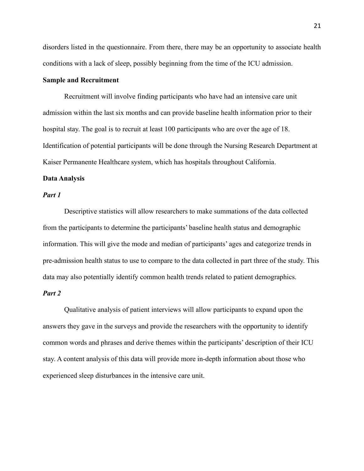disorders listed in the questionnaire. From there, there may be an opportunity to associate health conditions with a lack of sleep, possibly beginning from the time of the ICU admission.

#### <span id="page-21-0"></span>**Sample and Recruitment**

Recruitment will involve finding participants who have had an intensive care unit admission within the last six months and can provide baseline health information prior to their hospital stay. The goal is to recruit at least 100 participants who are over the age of 18. Identification of potential participants will be done through the Nursing Research Department at Kaiser Permanente Healthcare system, which has hospitals throughout California.

#### <span id="page-21-1"></span>**Data Analysis**

#### <span id="page-21-2"></span>*Part 1*

Descriptive statistics will allow researchers to make summations of the data collected from the participants to determine the participants' baseline health status and demographic information. This will give the mode and median of participants' ages and categorize trends in pre-admission health status to use to compare to the data collected in part three of the study. This data may also potentially identify common health trends related to patient demographics.

#### <span id="page-21-3"></span>*Part 2*

Qualitative analysis of patient interviews will allow participants to expand upon the answers they gave in the surveys and provide the researchers with the opportunity to identify common words and phrases and derive themes within the participants' description of their ICU stay. A content analysis of this data will provide more in-depth information about those who experienced sleep disturbances in the intensive care unit.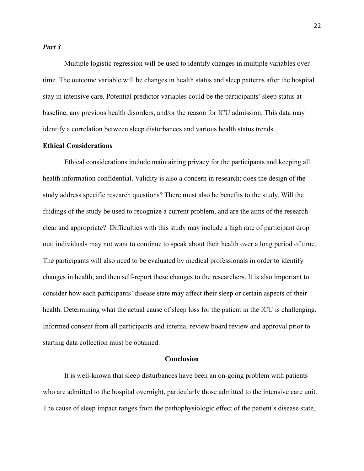#### <span id="page-22-0"></span>*Part 3*

Multiple logistic regression will be used to identify changes in multiple variables over time. The outcome variable will be changes in health status and sleep patterns after the hospital stay in intensive care. Potential predictor variables could be the participants' sleep status at baseline, any previous health disorders, and/or the reason for ICU admission. This data may identify a correlation between sleep disturbances and various health status trends.

### <span id="page-22-1"></span>**Ethical Considerations**

Ethical considerations include maintaining privacy for the participants and keeping all health information confidential. Validity is also a concern in research; does the design of the study address specific research questions? There must also be benefits to the study. Will the findings of the study be used to recognize a current problem, and are the aims of the research clear and appropriate? Difficulties with this study may include a high rate of participant drop out; individuals may not want to continue to speak about their health over a long period of time. The participants will also need to be evaluated by medical professionals in order to identify changes in health, and then self-report these changes to the researchers. It is also important to consider how each participants' disease state may affect their sleep or certain aspects of their health. Determining what the actual cause of sleep loss for the patient in the ICU is challenging. Informed consent from all participants and internal review board review and approval prior to starting data collection must be obtained.

#### **Conclusion**

<span id="page-22-2"></span>It is well-known that sleep disturbances have been an on-going problem with patients who are admitted to the hospital overnight, particularly those admitted to the intensive care unit. The cause of sleep impact ranges from the pathophysiologic effect of the patient's disease state,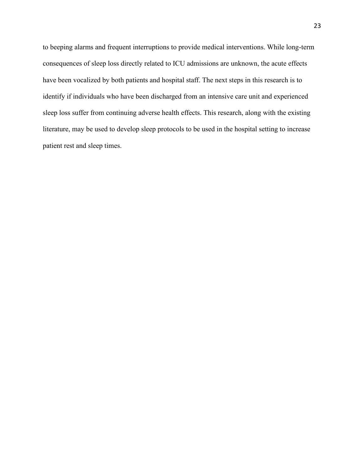to beeping alarms and frequent interruptions to provide medical interventions. While long-term consequences of sleep loss directly related to ICU admissions are unknown, the acute effects have been vocalized by both patients and hospital staff. The next steps in this research is to identify if individuals who have been discharged from an intensive care unit and experienced sleep loss suffer from continuing adverse health effects. This research, along with the existing literature, may be used to develop sleep protocols to be used in the hospital setting to increase patient rest and sleep times.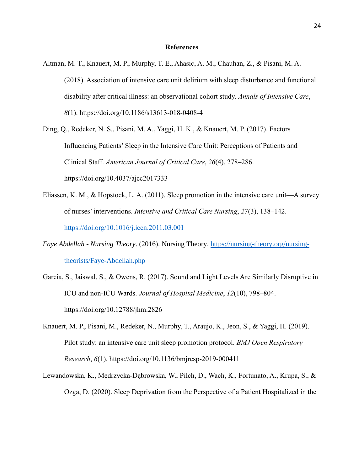#### **References**

- <span id="page-24-0"></span>Altman, M. T., Knauert, M. P., Murphy, T. E., Ahasic, A. M., Chauhan, Z., & Pisani, M. A. (2018). Association of intensive care unit delirium with sleep disturbance and functional disability after critical illness: an observational cohort study. *Annals of Intensive Care*, *8*(1). https://doi.org/10.1186/s13613-018-0408-4
- Ding, Q., Redeker, N. S., Pisani, M. A., Yaggi, H. K., & Knauert, M. P. (2017). Factors Influencing Patients' Sleep in the Intensive Care Unit: Perceptions of Patients and Clinical Staff. *American Journal of Critical Care*, *26*(4), 278–286. https://doi.org/10.4037/ajcc2017333
- Eliassen, K. M., & Hopstock, L. A. (2011). Sleep promotion in the intensive care unit—A survey of nurses' interventions. *Intensive and Critical Care Nursing*, *27*(3), 138–142. <https://doi.org/10.1016/j.iccn.2011.03.001>
- *Faye Abdellah - Nursing Theory*. (2016). Nursing Theory. [https://nursing-theory.org/nursing](https://nursing-theory.org/nursing-theorists/Faye-Abdellah.php)[theorists/Faye-Abdellah.php](https://nursing-theory.org/nursing-theorists/Faye-Abdellah.php)
- Garcia, S., Jaiswal, S., & Owens, R. (2017). Sound and Light Levels Are Similarly Disruptive in ICU and non-ICU Wards. *Journal of Hospital Medicine*, *12*(10), 798–804. https://doi.org/10.12788/jhm.2826
- Knauert, M. P., Pisani, M., Redeker, N., Murphy, T., Araujo, K., Jeon, S., & Yaggi, H. (2019). Pilot study: an intensive care unit sleep promotion protocol. *BMJ Open Respiratory Research*, *6*(1). https://doi.org/10.1136/bmjresp-2019-000411
- Lewandowska, K., Mędrzycka-Dąbrowska, W., Pilch, D., Wach, K., Fortunato, A., Krupa, S., & Ozga, D. (2020). Sleep Deprivation from the Perspective of a Patient Hospitalized in the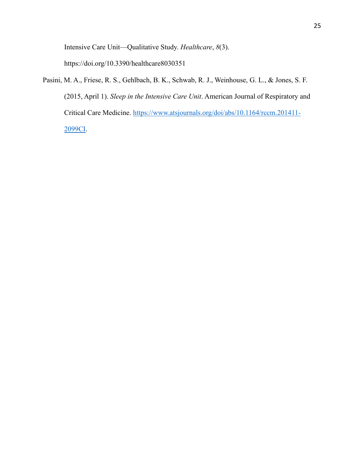Intensive Care Unit—Qualitative Study. *Healthcare*, *8*(3).

https://doi.org/10.3390/healthcare8030351

Pasini, M. A., Friese, R. S., Gehlbach, B. K., Schwab, R. J., Weinhouse, G. L., & Jones, S. F. (2015, April 1). *Sleep in the Intensive Care Unit*. American Journal of Respiratory and Critical Care Medicine. [https://www.atsjournals.org/doi/abs/10.1164/rccm.201411-](https://www.atsjournals.org/doi/abs/10.1164/rccm.201411-2099CI) [2099CI.](https://www.atsjournals.org/doi/abs/10.1164/rccm.201411-2099CI)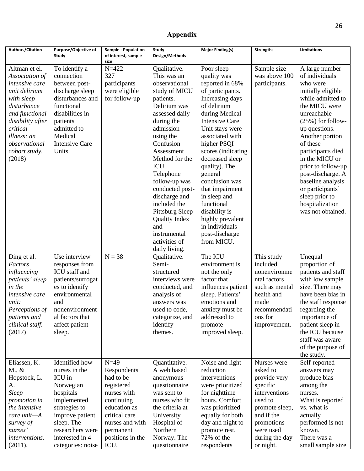## **Appendix**

<span id="page-26-0"></span>

| <b>Authors/Citation</b> | Purpose/Objective of  | Sample - Population         | Study                            | <b>Major Finding(s)</b>           | <b>Strengths</b> | <b>Limitations</b>                    |
|-------------------------|-----------------------|-----------------------------|----------------------------------|-----------------------------------|------------------|---------------------------------------|
|                         | Study                 | of interest, sample<br>size | Design/Methods                   |                                   |                  |                                       |
| Altman et el.           | To identify a         | $N = 422$                   | Qualitative.                     | Poor sleep                        | Sample size      | A large number                        |
| Association of          | connection            | 327                         | This was an                      | quality was                       | was above 100    | of individuals                        |
| intensive care          | between post-         | participants                | observational                    | reported in 68%                   | participants.    | who were                              |
| unit delirium           | discharge sleep       | were eligible               | study of MICU                    | of participants.                  |                  | initially eligible                    |
| with sleep              | disturbances and      | for follow-up               | patients.                        | Increasing days                   |                  | while admitted to                     |
| disturbance             | functional            |                             | Delirium was                     | of delirium                       |                  | the MICU were                         |
| and functional          | disabilities in       |                             | assessed daily                   | during Medical                    |                  | unreachable                           |
| disability after        | patients              |                             | during the                       | <b>Intensive Care</b>             |                  | $(25%)$ for follow-                   |
| critical                | admitted to           |                             | admission                        | Unit stays were                   |                  | up questions.                         |
| illness: an             | Medical               |                             | using the                        | associated with                   |                  | Another portion                       |
| observational           | <b>Intensive Care</b> |                             | Confusion                        | higher PSQI                       |                  | of these                              |
| cohort study.           | Units.                |                             | Assessment                       | scores (indicating                |                  | participants died                     |
| (2018)                  |                       |                             | Method for the                   | decreased sleep                   |                  | in the MICU or                        |
|                         |                       |                             | ICU.                             | quality). The                     |                  | prior to follow-up                    |
|                         |                       |                             | Telephone                        | general                           |                  | post-discharge. A                     |
|                         |                       |                             | follow-up was<br>conducted post- | conclusion was<br>that impairment |                  | baseline analysis<br>or participants' |
|                         |                       |                             | discharge and                    | in sleep and                      |                  | sleep prior to                        |
|                         |                       |                             | included the                     | functional                        |                  | hospitalization                       |
|                         |                       |                             | Pittsburg Sleep                  | disability is                     |                  | was not obtained.                     |
|                         |                       |                             | <b>Quality Index</b>             | highly prevalent                  |                  |                                       |
|                         |                       |                             | and                              | in individuals                    |                  |                                       |
|                         |                       |                             | instrumental                     | post-discharge                    |                  |                                       |
|                         |                       |                             | activities of                    | from MICU.                        |                  |                                       |
|                         |                       |                             | daily living.                    |                                   |                  |                                       |
| Ding et al.             | Use interview         | $N = 38$                    | Qualitative.                     | The ICU                           | This study       | Unequal                               |
| Factors                 | responses from        |                             | Semi-                            | environment is                    | included         | proportion of                         |
| influencing             | ICU staff and         |                             | structured                       | not the only                      | nonenvironme     | patients and staff                    |
| patients' sleep         | patients/surrogat     |                             | interviews were                  | factor that                       | ntal factors     | with low sample                       |
| in the                  | es to identify        |                             | conducted, and                   | influences patient                | such as mental   | size. There may                       |
| <i>intensive</i> care   | environmental         |                             | analysis of                      | sleep. Patients'                  | health and       | have been bias in                     |
| unit:                   | and                   |                             | answers was                      | emotions and                      | made             | the staff response                    |
| Perceptions of          | nonenvironment        |                             | used to code.                    | anxiety must be                   | recommendati     | regarding the                         |
| patients and            | al factors that       |                             | categorize, and                  | addressed to                      | ons for          | importance of                         |
| clinical staff.         | affect patient        |                             | identify                         | promote                           | improvement.     | patient sleep in<br>the ICU because   |
| (2017)                  | sleep.                |                             | themes.                          | improved sleep.                   |                  | staff was aware                       |
|                         |                       |                             |                                  |                                   |                  | of the purpose of                     |
|                         |                       |                             |                                  |                                   |                  | the study.                            |
| Eliassen, K.            | Identified how        | $N=49$                      | Quantitative.                    | Noise and light                   | Nurses were      | Self-reported                         |
| $M_{\cdot}, \&$         | nurses in the         | Respondents                 | A web based                      | reduction                         | asked to         | answers may                           |
| Hopstock, L.            | ICU in                | had to be                   | anonymous                        | interventions                     | provide very     | produce bias                          |
| A.                      | Norwegian             | registered                  | questionnaire                    | were prioritized                  | specific         | among the                             |
| <b>Sleep</b>            | hospitals             | nurses with                 | was sent to                      | for nighttime                     | interventions    | nurses.                               |
| <i>promotion in</i>     | implemented           | continuing                  | nurses who fit                   | hours. Comfort                    | used to          | What is reported                      |
| the intensive           | strategies to         | education as                | the criteria at                  | was prioritized                   | promote sleep,   | vs. what is                           |
| $care unit - A$         | improve patient       | critical care               | University                       | equally for both                  | and if the       | actually                              |
| survey of               | sleep. The            | nurses and with             | Hospital of                      | day and night to                  | promotions       | performed is not                      |
| nurses'                 | researchers were      | permanent                   | Northern                         | promote rest.                     | were used        | known.                                |
| interventions.          | interested in 4       | positions in the            | Norway. The                      | 72% of the                        | during the day   | There was a                           |
| (2011).                 | categories: noise     | ICU.                        | questionnaire                    | respondents                       | or night.        | small sample size                     |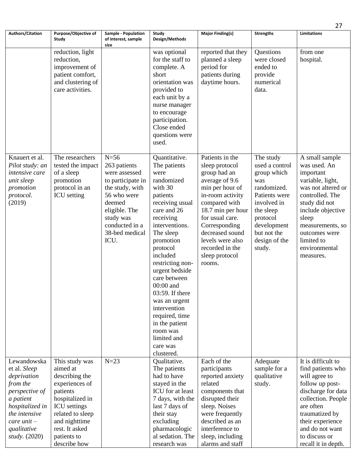|                                                                                                                                                                                     |                                                                                                                                                                                                            |                                                                                                                                                                          |                                                                                                                                                                                                                                                                                                                                                                                                |                                                                                                                                                                                                                                                         |                                                                                                                                                                       | 27                                                                                                                                                                                                                                    |
|-------------------------------------------------------------------------------------------------------------------------------------------------------------------------------------|------------------------------------------------------------------------------------------------------------------------------------------------------------------------------------------------------------|--------------------------------------------------------------------------------------------------------------------------------------------------------------------------|------------------------------------------------------------------------------------------------------------------------------------------------------------------------------------------------------------------------------------------------------------------------------------------------------------------------------------------------------------------------------------------------|---------------------------------------------------------------------------------------------------------------------------------------------------------------------------------------------------------------------------------------------------------|-----------------------------------------------------------------------------------------------------------------------------------------------------------------------|---------------------------------------------------------------------------------------------------------------------------------------------------------------------------------------------------------------------------------------|
| Authors/Citation                                                                                                                                                                    | Purpose/Objective of                                                                                                                                                                                       | Sample - Population                                                                                                                                                      | Study                                                                                                                                                                                                                                                                                                                                                                                          | <b>Major Finding(s)</b>                                                                                                                                                                                                                                 | <b>Strengths</b>                                                                                                                                                      | <b>Limitations</b>                                                                                                                                                                                                                    |
|                                                                                                                                                                                     | Study                                                                                                                                                                                                      | of interest, sample<br>size                                                                                                                                              | Design/Methods                                                                                                                                                                                                                                                                                                                                                                                 |                                                                                                                                                                                                                                                         |                                                                                                                                                                       |                                                                                                                                                                                                                                       |
|                                                                                                                                                                                     | reduction, light<br>reduction,<br>improvement of<br>patient comfort,<br>and clustering of<br>care activities.                                                                                              |                                                                                                                                                                          | was optional<br>for the staff to<br>complete. A<br>short<br>orientation was<br>provided to<br>each unit by a<br>nurse manager<br>to encourage<br>participation.<br>Close ended<br>questions were                                                                                                                                                                                               | reported that they<br>planned a sleep<br>period for<br>patients during<br>daytime hours.                                                                                                                                                                | Questions<br>were closed<br>ended to<br>provide<br>numerical<br>data.                                                                                                 | from one<br>hospital.                                                                                                                                                                                                                 |
| Knauert et al.                                                                                                                                                                      | The researchers                                                                                                                                                                                            | $N=56$                                                                                                                                                                   | used.<br>Quantitative.                                                                                                                                                                                                                                                                                                                                                                         | Patients in the                                                                                                                                                                                                                                         | The study                                                                                                                                                             | A small sample                                                                                                                                                                                                                        |
| Pilot study: an<br>intensive care<br>unit sleep<br>promotion<br>protocol.<br>(2019)                                                                                                 | tested the impact<br>of a sleep<br>promotion<br>protocol in an<br><b>ICU</b> setting                                                                                                                       | 263 patients<br>were assessed<br>to participate in<br>the study, with<br>56 who were<br>deemed<br>eligible. The<br>study was<br>conducted in a<br>38-bed medical<br>ICU. | The patients<br>were<br>randomized<br>with 30<br>patients<br>receiving usual<br>care and 26<br>receiving<br>interventions.<br>The sleep<br>promotion<br>protocol<br>included<br>restricting non-<br>urgent bedside<br>care between<br>$00:00$ and<br>03:59. If there<br>was an urgent<br>intervention<br>required, time<br>in the patient<br>room was<br>limited and<br>care was<br>clustered. | sleep protocol<br>group had an<br>average of 9.6<br>min per hour of<br>in-room activity<br>compared with<br>18.7 min per hour<br>for usual care.<br>Corresponding<br>decreased sound<br>levels were also<br>recorded in the<br>sleep protocol<br>rooms. | used a control<br>group which<br>was<br>randomized.<br>Patients were<br>involved in<br>the sleep<br>protocol<br>development<br>but not the<br>design of the<br>study. | was used. An<br>important<br>variable, light,<br>was not altered or<br>controlled. The<br>study did not<br>include objective<br>sleep<br>measurements, so<br>outcomes were<br>limited to<br>environmental<br>measures.                |
| Lewandowska<br>et al. Sleep<br>deprivation<br>from the<br>perspective of<br>a patient<br>hospitalized in<br>the intensive<br>$care$ unit $-$<br>qualitative<br><i>study.</i> (2020) | This study was<br>aimed at<br>describing the<br>experiences of<br>patients<br>hospitalized in<br><b>ICU</b> settings<br>related to sleep<br>and nighttime<br>rest. It asked<br>patients to<br>describe how | $N=23$                                                                                                                                                                   | Qualitative.<br>The patients<br>had to have<br>stayed in the<br>ICU for at least<br>7 days, with the<br>last 7 days of<br>their stay<br>excluding<br>pharmacologic<br>al sedation. The<br>research was                                                                                                                                                                                         | Each of the<br>participants<br>reported anxiety<br>related<br>components that<br>disrupted their<br>sleep. Noises<br>were frequently<br>described as an<br>interference to<br>sleep, including<br>alarms and staff                                      | Adequate<br>sample for a<br>qualitative<br>study.                                                                                                                     | It is difficult to<br>find patients who<br>will agree to<br>follow up post-<br>discharge for data<br>collection. People<br>are often<br>traumatized by<br>their experience<br>and do not want<br>to discuss or<br>recall it in depth. |